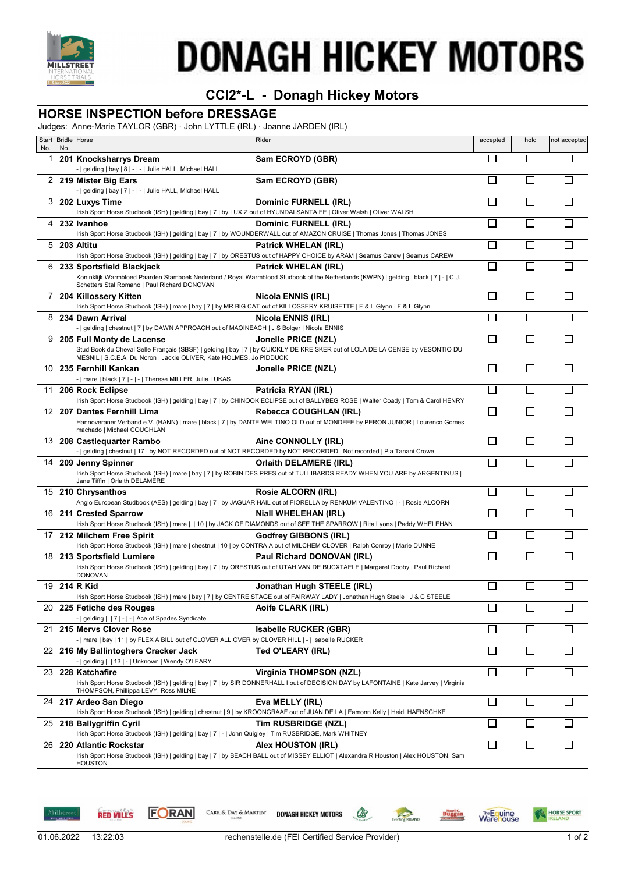

# **DONAGH HICKEY MOTORS**

## **CCI2\*-L - Donagh Hickey Motors**

### **HORSE INSPECTION before DRESSAGE**

Judges: Anne-Marie TAYLOR (GBR) · John LYTTLE (IRL) · Joanne JARDEN (IRL)

|          |     | Start Bridle Horse                                                                                                                                     | Rider                                                                                                                                                                   | accepted | hold   | not accepted |
|----------|-----|--------------------------------------------------------------------------------------------------------------------------------------------------------|-------------------------------------------------------------------------------------------------------------------------------------------------------------------------|----------|--------|--------------|
| No.<br>1 | No. | 201 Knocksharrys Dream<br>-   gelding   bay   8   -   -   Julie HALL, Michael HALL                                                                     | Sam ECROYD (GBR)                                                                                                                                                        |          | П      |              |
|          |     | 2 219 Mister Big Ears<br>-   gelding   bay   7   -   -   Julie HALL, Michael HALL                                                                      | Sam ECROYD (GBR)                                                                                                                                                        |          |        |              |
|          |     | 3 202 Luxys Time<br>Irish Sport Horse Studbook (ISH)   gelding   bay   7   by LUX Z out of HYUNDAI SANTA FE   Oliver Walsh   Oliver WALSH              | <b>Dominic FURNELL (IRL)</b>                                                                                                                                            | П        | П      |              |
|          |     | 4 232 Ivanhoe                                                                                                                                          | Dominic FURNELL (IRL)<br>Irish Sport Horse Studbook (ISH)   gelding   bay   7   by WOUNDERWALL out of AMAZON CRUISE   Thomas Jones   Thomas JONES                       | Г        | П      |              |
|          |     | 5 203 Altitu                                                                                                                                           | Patrick WHELAN (IRL)<br>Irish Sport Horse Studbook (ISH)   gelding   bay   7   by ORESTUS out of HAPPY CHOICE by ARAM   Seamus Carew   Seamus CAREW                     | П        | $\Box$ |              |
|          |     | 6 233 Sportsfield Blackjack<br>Schetters Stal Romano   Paul Richard DONOVAN                                                                            | Patrick WHELAN (IRL)<br>Koninklijk Warmbloed Paarden Stamboek Nederland / Royal Warmblood Studbook of the Netherlands (KWPN)   gelding   black   7   -   C.J.           | П        | П      |              |
|          |     | 7 204 Killossery Kitten<br>Irish Sport Horse Studbook (ISH)   mare   bay   7   by MR BIG CAT out of KILLOSSERY KRUISETTE   F & L Glynn   F & L Glynn   | Nicola ENNIS (IRL)                                                                                                                                                      | П        | $\Box$ |              |
|          |     | 8 234 Dawn Arrival<br>-   gelding   chestnut   7   by DAWN APPROACH out of MAOINEACH   J S Bolger   Nicola ENNIS                                       | Nicola ENNIS (IRL)                                                                                                                                                      |          | $\Box$ |              |
|          |     | 9 205 Full Monty de Lacense<br>MESNIL   S.C.E.A. Du Noron   Jackie OLIVER, Kate HOLMES, Jo PIDDUCK                                                     | Jonelle PRICE (NZL)<br>Stud Book du Cheval Selle Français (SBSF)   gelding   bay   7   by QUICKLY DE KREISKER out of LOLA DE LA CENSE by VESONTIO DU                    | Г        |        |              |
|          |     | 10 235 Fernhill Kankan<br>-   mare   black   7   -   -   Therese MILLER, Julia LUKAS                                                                   | Jonelle PRICE (NZL)                                                                                                                                                     | П        | П      |              |
|          |     | 11 206 Rock Eclipse                                                                                                                                    | Patricia RYAN (IRL)<br>Irish Sport Horse Studbook (ISH)   gelding   bay   7   by CHINOOK ECLIPSE out of BALLYBEG ROSE   Walter Coady   Tom & Carol HENRY                | П        | П      |              |
|          |     | 12 207 Dantes Fernhill Lima<br>machado   Michael COUGHLAN                                                                                              | <b>Rebecca COUGHLAN (IRL)</b><br>Hannoveraner Verband e.V. (HANN)   mare   black   7   by DANTE WELTINO OLD out of MONDFEE by PERON JUNIOR   Lourenco Gomes             | П        |        |              |
|          |     | 13 208 Castlequarter Rambo<br>-   gelding   chestnut   17   by NOT RECORDED out of NOT RECORDED by NOT RECORDED   Not recorded   Pia Tanani Crowe      | Aine CONNOLLY (IRL)                                                                                                                                                     | П        | П      |              |
|          |     | 14 209 Jenny Spinner<br>Jane Tiffin   Orlaith DELAMERE                                                                                                 | <b>Orlaith DELAMERE (IRL)</b><br>Irish Sport Horse Studbook (ISH)   mare   bay   7   by ROBIN DES PRES out of TULLIBARDS READY WHEN YOU ARE by ARGENTINUS               | $\Box$   | П      |              |
|          |     | 15 210 Chrysanthos                                                                                                                                     | <b>Rosie ALCORN (IRL)</b><br>Anglo European Studbook (AES)   gelding   bay   7   by JAGUAR HAIL out of FIORELLA by RENKUM VALENTINO   -   Rosie ALCORN                  | $\Box$   | $\Box$ |              |
|          |     | 16 211 Crested Sparrow                                                                                                                                 | <b>Niall WHELEHAN (IRL)</b><br>Irish Sport Horse Studbook (ISH)   mare     10   by JACK OF DIAMONDS out of SEE THE SPARROW   Rita Lyons   Paddy WHELEHAN                | П        | $\Box$ |              |
|          |     | 17 212 Milchem Free Spirit<br>Irish Sport Horse Studbook (ISH)   mare   chestnut   10   by CONTRA A out of MILCHEM CLOVER   Ralph Conroy   Marie DUNNE | Godfrey GIBBONS (IRL)                                                                                                                                                   |          |        |              |
|          |     | 18 213 Sportsfield Lumiere<br><b>DONOVAN</b>                                                                                                           | Paul Richard DONOVAN (IRL)<br>Irish Sport Horse Studbook (ISH)   gelding   bay   7   by ORESTUS out of UTAH VAN DE BUCXTAELE   Margaret Dooby   Paul Richard            |          |        |              |
|          |     | 19 214 R Kid                                                                                                                                           | Jonathan Hugh STEELE (IRL)<br>Irish Sport Horse Studbook (ISH)   mare   bay   7   by CENTRE STAGE out of FAIRWAY LADY   Jonathan Hugh Steele   J & C STEELE             | $\sqcup$ | $\Box$ |              |
|          |     | 20 225 Fetiche des Rouges<br>-   gelding     7   -   -   Ace of Spades Syndicate                                                                       | Aoife CLARK (IRL)                                                                                                                                                       | □        | П      |              |
| 21       |     | 215 Mervs Clover Rose<br>-   mare   bay   11   by FLEX A BILL out of CLOVER ALL OVER by CLOVER HILL   -   Isabelle RUCKER                              | Isabelle RUCKER (GBR)                                                                                                                                                   | $\Box$   | $\Box$ |              |
|          |     | 22 216 My Ballintoghers Cracker Jack<br>-   gelding     13   -   Unknown   Wendy O'LEARY                                                               | Ted O'LEARY (IRL)                                                                                                                                                       | П        | $\Box$ |              |
|          |     | 23 228 Katchafire<br>THOMPSON, Phillippa LEVY, Ross MILNE                                                                                              | <b>Virginia THOMPSON (NZL)</b><br>Irish Sport Horse Studbook (ISH)   gelding   bay   7   by SIR DONNERHALL I out of DECISION DAY by LAFONTAINE   Kate Jarvey   Virginia | $\Box$   | $\Box$ |              |
|          |     | 24 217 Ardeo San Diego                                                                                                                                 | Eva MELLY (IRL)<br>Irish Sport Horse Studbook (ISH)   gelding   chestnut   9   by KROONGRAAF out of JUAN DE LA   Eamonn Kelly   Heidi HAENSCHKE                         | □        | $\Box$ |              |
|          |     | 25 218 Ballygriffin Cyril<br>Irish Sport Horse Studbook (ISH)   gelding   bay   7   -   John Quigley   Tim RUSBRIDGE, Mark WHITNEY                     | Tim RUSBRIDGE (NZL)                                                                                                                                                     | $\Box$   | $\Box$ |              |
|          |     | 26 220 Atlantic Rockstar<br><b>HOUSTON</b>                                                                                                             | Alex HOUSTON (IRL)<br>Irish Sport Horse Studbook (ISH)   gelding   bay   7   by BEACH BALL out of MISSEY ELLIOT   Alexandra R Houston   Alex HOUSTON, Sam               | П        | $\Box$ |              |





CARR & DAY & MARTIN' **DONAGH HICKEY MOTORS** 



 $\bullet$ 

**POSTAGE** 

Noel C.<br>Duggan

**Warehouse** 

**HORSE SPORT**